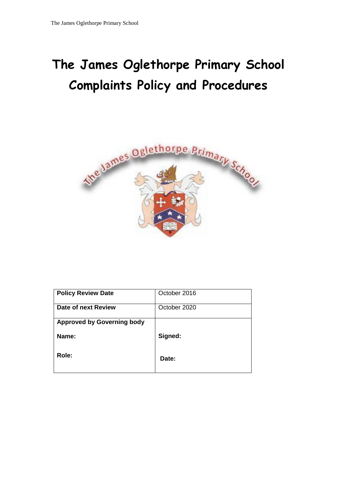# **The James Oglethorpe Primary School Complaints Policy and Procedures**



| <b>Policy Review Date</b>         | October 2016 |
|-----------------------------------|--------------|
| Date of next Review               | October 2020 |
| <b>Approved by Governing body</b> |              |
| Name:                             | Signed:      |
| Role:                             | Date:        |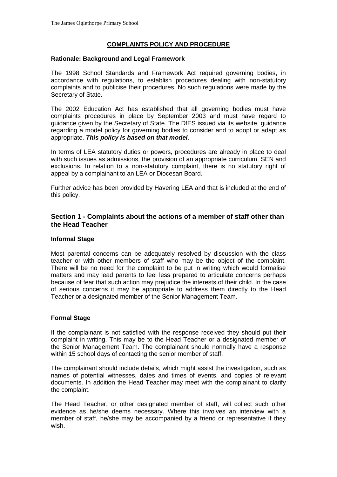## **COMPLAINTS POLICY AND PROCEDURE**

#### **Rationale: Background and Legal Framework**

The 1998 School Standards and Framework Act required governing bodies, in accordance with regulations, to establish procedures dealing with non-statutory complaints and to publicise their procedures. No such regulations were made by the Secretary of State.

The 2002 Education Act has established that all governing bodies must have complaints procedures in place by September 2003 and must have regard to guidance given by the Secretary of State. The DfES issued via its website, guidance regarding a model policy for governing bodies to consider and to adopt or adapt as appropriate. *This policy is based on that model.*

In terms of LEA statutory duties or powers, procedures are already in place to deal with such issues as admissions, the provision of an appropriate curriculum, SEN and exclusions. In relation to a non-statutory complaint, there is no statutory right of appeal by a complainant to an LEA or Diocesan Board.

Further advice has been provided by Havering LEA and that is included at the end of this policy.

## **Section 1 - Complaints about the actions of a member of staff other than the Head Teacher**

#### **Informal Stage**

Most parental concerns can be adequately resolved by discussion with the class teacher or with other members of staff who may be the object of the complaint. There will be no need for the complaint to be put in writing which would formalise matters and may lead parents to feel less prepared to articulate concerns perhaps because of fear that such action may prejudice the interests of their child. In the case of serious concerns it may be appropriate to address them directly to the Head Teacher or a designated member of the Senior Management Team.

#### **Formal Stage**

If the complainant is not satisfied with the response received they should put their complaint in writing. This may be to the Head Teacher or a designated member of the Senior Management Team. The complainant should normally have a response within 15 school days of contacting the senior member of staff.

The complainant should include details, which might assist the investigation, such as names of potential witnesses, dates and times of events, and copies of relevant documents. In addition the Head Teacher may meet with the complainant to clarify the complaint.

The Head Teacher, or other designated member of staff, will collect such other evidence as he/she deems necessary. Where this involves an interview with a member of staff, he/she may be accompanied by a friend or representative if they wish.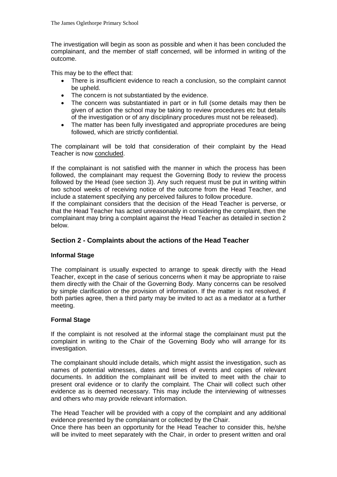The investigation will begin as soon as possible and when it has been concluded the complainant, and the member of staff concerned, will be informed in writing of the outcome.

This may be to the effect that:

- There is insufficient evidence to reach a conclusion, so the complaint cannot be upheld.
- The concern is not substantiated by the evidence.
- The concern was substantiated in part or in full (some details may then be given of action the school may be taking to review procedures etc but details of the investigation or of any disciplinary procedures must not be released).
- The matter has been fully investigated and appropriate procedures are being followed, which are strictly confidential.

The complainant will be told that consideration of their complaint by the Head Teacher is now concluded.

If the complainant is not satisfied with the manner in which the process has been followed, the complainant may request the Governing Body to review the process followed by the Head (see section 3). Any such request must be put in writing within two school weeks of receiving notice of the outcome from the Head Teacher, and include a statement specifying any perceived failures to follow procedure.

If the complainant considers that the decision of the Head Teacher is perverse, or that the Head Teacher has acted unreasonably in considering the complaint, then the complainant may bring a complaint against the Head Teacher as detailed in section 2 below.

# **Section 2 - Complaints about the actions of the Head Teacher**

# **Informal Stage**

The complainant is usually expected to arrange to speak directly with the Head Teacher, except in the case of serious concerns when it may be appropriate to raise them directly with the Chair of the Governing Body. Many concerns can be resolved by simple clarification or the provision of information. If the matter is not resolved, if both parties agree, then a third party may be invited to act as a mediator at a further meeting.

## **Formal Stage**

If the complaint is not resolved at the informal stage the complainant must put the complaint in writing to the Chair of the Governing Body who will arrange for its investigation.

The complainant should include details, which might assist the investigation, such as names of potential witnesses, dates and times of events and copies of relevant documents. In addition the complainant will be invited to meet with the chair to present oral evidence or to clarify the complaint. The Chair will collect such other evidence as is deemed necessary. This may include the interviewing of witnesses and others who may provide relevant information.

The Head Teacher will be provided with a copy of the complaint and any additional evidence presented by the complainant or collected by the Chair.

Once there has been an opportunity for the Head Teacher to consider this, he/she will be invited to meet separately with the Chair, in order to present written and oral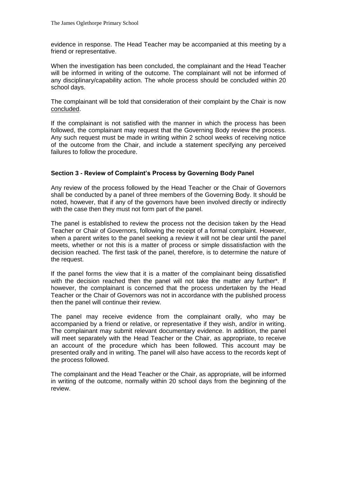evidence in response. The Head Teacher may be accompanied at this meeting by a friend or representative.

When the investigation has been concluded, the complainant and the Head Teacher will be informed in writing of the outcome. The complainant will not be informed of any disciplinary/capability action. The whole process should be concluded within 20 school days.

The complainant will be told that consideration of their complaint by the Chair is now concluded.

If the complainant is not satisfied with the manner in which the process has been followed, the complainant may request that the Governing Body review the process. Any such request must be made in writing within 2 school weeks of receiving notice of the outcome from the Chair, and include a statement specifying any perceived failures to follow the procedure.

## **Section 3 - Review of Complaint's Process by Governing Body Panel**

Any review of the process followed by the Head Teacher or the Chair of Governors shall be conducted by a panel of three members of the Governing Body. It should be noted, however, that if any of the governors have been involved directly or indirectly with the case then they must not form part of the panel.

The panel is established to review the process not the decision taken by the Head Teacher or Chair of Governors, following the receipt of a formal complaint. However, when a parent writes to the panel seeking a review it will not be clear until the panel meets, whether or not this is a matter of process or simple dissatisfaction with the decision reached. The first task of the panel, therefore, is to determine the nature of the request.

If the panel forms the view that it is a matter of the complainant being dissatisfied with the decision reached then the panel will not take the matter any further\*. If however, the complainant is concerned that the process undertaken by the Head Teacher or the Chair of Governors was not in accordance with the published process then the panel will continue their review.

The panel may receive evidence from the complainant orally, who may be accompanied by a friend or relative, or representative if they wish, and/or in writing. The complainant may submit relevant documentary evidence. In addition, the panel will meet separately with the Head Teacher or the Chair, as appropriate, to receive an account of the procedure which has been followed. This account may be presented orally and in writing. The panel will also have access to the records kept of the process followed.

The complainant and the Head Teacher or the Chair, as appropriate, will be informed in writing of the outcome, normally within 20 school days from the beginning of the review.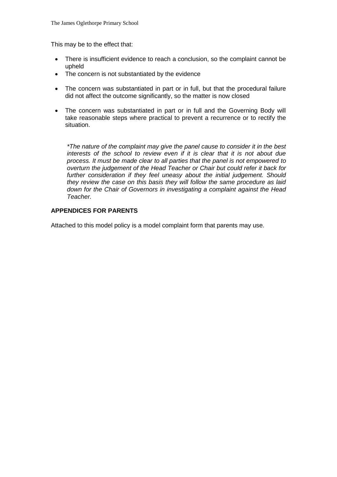This may be to the effect that:

- There is insufficient evidence to reach a conclusion, so the complaint cannot be upheld
- The concern is not substantiated by the evidence
- The concern was substantiated in part or in full, but that the procedural failure did not affect the outcome significantly, so the matter is now closed
- The concern was substantiated in part or in full and the Governing Body will take reasonable steps where practical to prevent a recurrence or to rectify the situation.

*\*The nature of the complaint may give the panel cause to consider it in the best interests of the school to review even if it is clear that it is not about due process. It must be made clear to all parties that the panel is not empowered to overturn the judgement of the Head Teacher or Chair but could refer it back for*  further consideration if they feel uneasy about the initial judgement. Should *they review the case on this basis they will follow the same procedure as laid down for the Chair of Governors in investigating a complaint against the Head Teacher.*

## **APPENDICES FOR PARENTS**

Attached to this model policy is a model complaint form that parents may use.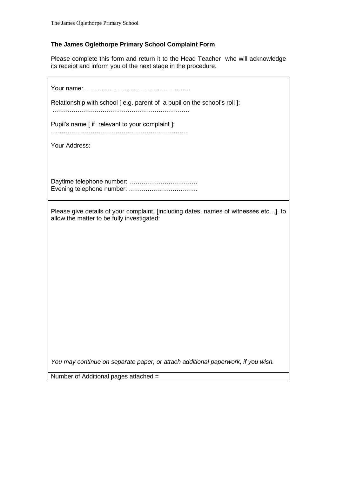$\mathsf{r}$ 

# **The James Oglethorpe Primary School Complaint Form**

Please complete this form and return it to the Head Teacher who will acknowledge its receipt and inform you of the next stage in the procedure.

| Relationship with school [e.g. parent of a pupil on the school's roll]:                                                            |
|------------------------------------------------------------------------------------------------------------------------------------|
| Pupil's name [ if relevant to your complaint ]:                                                                                    |
| Your Address:                                                                                                                      |
|                                                                                                                                    |
| Daytime telephone number:<br>Evening telephone number:                                                                             |
| Please give details of your complaint, [including dates, names of witnesses etc], to<br>allow the matter to be fully investigated: |
|                                                                                                                                    |
|                                                                                                                                    |
|                                                                                                                                    |
|                                                                                                                                    |
|                                                                                                                                    |
|                                                                                                                                    |
|                                                                                                                                    |
|                                                                                                                                    |
| You may continue on separate paper, or attach additional paperwork, if you wish.<br>Number of Additional pages attached =          |
|                                                                                                                                    |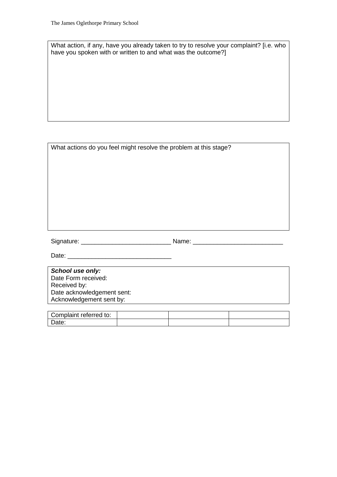What action, if any, have you already taken to try to resolve your complaint? [i.e. who have you spoken with or written to and what was the outcome?]

| What actions do you feel might resolve the problem at this stage? |  |
|-------------------------------------------------------------------|--|
|-------------------------------------------------------------------|--|

Signature: \_\_\_\_\_\_\_\_\_\_\_\_\_\_\_\_\_\_\_\_\_\_\_\_\_\_ Name: \_\_\_\_\_\_\_\_\_\_\_\_\_\_\_\_\_\_\_\_\_\_\_\_\_\_

Date: \_\_\_\_\_\_\_\_\_\_\_\_\_\_\_\_\_\_\_\_\_\_\_\_\_\_\_\_\_\_

*School use only:* Date Form received: Received by: Date acknowledgement sent: Acknowledgement sent by:

| Complaint referred to: |  |  |
|------------------------|--|--|
| Date:                  |  |  |